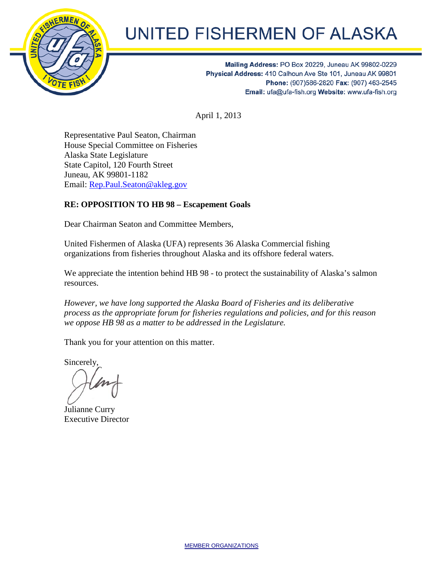

## **UNITED FISHERMEN OF ALASKA**

Mailing Address: PO Box 20229, Juneau AK 99802-0229 Physical Address: 410 Calhoun Ave Ste 101, Juneau AK 99801 Phone: (907)586-2820 Fax: (907) 463-2545 Email: ufa@ufa-fish.org Website: www.ufa-fish.org

April 1, 2013

Representative Paul Seaton, Chairman House Special Committee on Fisheries Alaska State Legislature State Capitol, 120 Fourth Street Juneau, AK 99801-1182 Email: [Rep.Paul.Seaton@akleg.gov](mailto:Rep.Paul.Seaton@akleg.gov)

## **RE: OPPOSITION TO HB 98 – Escapement Goals**

Dear Chairman Seaton and Committee Members,

United Fishermen of Alaska (UFA) represents 36 Alaska Commercial fishing organizations from fisheries throughout Alaska and its offshore federal waters.

We appreciate the intention behind HB 98 - to protect the sustainability of Alaska's salmon resources.

*However, we have long supported the Alaska Board of Fisheries and its deliberative process as the appropriate forum for fisheries regulations and policies, and for this reason we oppose HB 98 as a matter to be addressed in the Legislature.*

Thank you for your attention on this matter.

Sincerely,

Julianne Curry Executive Director